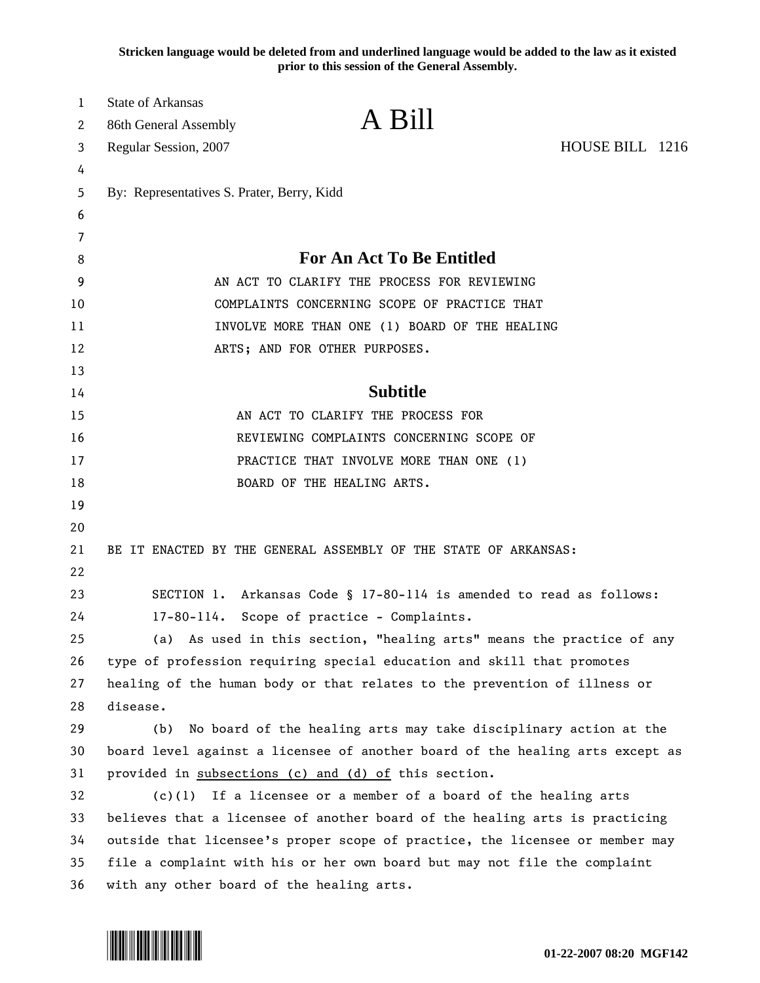**Stricken language would be deleted from and underlined language would be added to the law as it existed prior to this session of the General Assembly.**

| $\mathbf{1}$<br>2 | <b>State of Arkansas</b><br>86th General Assembly                             | A Bill                                                                 |                 |  |
|-------------------|-------------------------------------------------------------------------------|------------------------------------------------------------------------|-----------------|--|
| 3                 | Regular Session, 2007                                                         |                                                                        | HOUSE BILL 1216 |  |
| 4                 |                                                                               |                                                                        |                 |  |
| 5                 | By: Representatives S. Prater, Berry, Kidd                                    |                                                                        |                 |  |
| 6                 |                                                                               |                                                                        |                 |  |
| 7<br>8            |                                                                               | <b>For An Act To Be Entitled</b>                                       |                 |  |
| 9                 | AN ACT TO CLARIFY THE PROCESS FOR REVIEWING                                   |                                                                        |                 |  |
| 10                | COMPLAINTS CONCERNING SCOPE OF PRACTICE THAT                                  |                                                                        |                 |  |
| 11                | INVOLVE MORE THAN ONE (1) BOARD OF THE HEALING                                |                                                                        |                 |  |
| 12                | ARTS; AND FOR OTHER PURPOSES.                                                 |                                                                        |                 |  |
| 13                |                                                                               |                                                                        |                 |  |
| 14                |                                                                               | <b>Subtitle</b>                                                        |                 |  |
| 15                | AN ACT TO CLARIFY THE PROCESS FOR                                             |                                                                        |                 |  |
| 16                | REVIEWING COMPLAINTS CONCERNING SCOPE OF                                      |                                                                        |                 |  |
| 17                | PRACTICE THAT INVOLVE MORE THAN ONE (1)                                       |                                                                        |                 |  |
| 18                | BOARD OF THE HEALING ARTS.                                                    |                                                                        |                 |  |
| 19                |                                                                               |                                                                        |                 |  |
| 20                |                                                                               |                                                                        |                 |  |
| 21<br>22          |                                                                               | BE IT ENACTED BY THE GENERAL ASSEMBLY OF THE STATE OF ARKANSAS:        |                 |  |
| 23                |                                                                               | SECTION 1. Arkansas Code § 17-80-114 is amended to read as follows:    |                 |  |
| 24                | 17-80-114. Scope of practice - Complaints.                                    |                                                                        |                 |  |
| 25                |                                                                               | (a) As used in this section, "healing arts" means the practice of any  |                 |  |
| 26                |                                                                               | type of profession requiring special education and skill that promotes |                 |  |
| 27                | healing of the human body or that relates to the prevention of illness or     |                                                                        |                 |  |
| 28                | disease.                                                                      |                                                                        |                 |  |
| 29                | (b)                                                                           | No board of the healing arts may take disciplinary action at the       |                 |  |
| 30                | board level against a licensee of another board of the healing arts except as |                                                                        |                 |  |
| 31                | provided in subsections (c) and (d) of this section.                          |                                                                        |                 |  |
| 32                | $(c)(1)$ If a licensee or a member of a board of the healing arts             |                                                                        |                 |  |
| 33                | believes that a licensee of another board of the healing arts is practicing   |                                                                        |                 |  |
| 34                | outside that licensee's proper scope of practice, the licensee or member may  |                                                                        |                 |  |
| 35                | file a complaint with his or her own board but may not file the complaint     |                                                                        |                 |  |
| 36                | with any other board of the healing arts.                                     |                                                                        |                 |  |

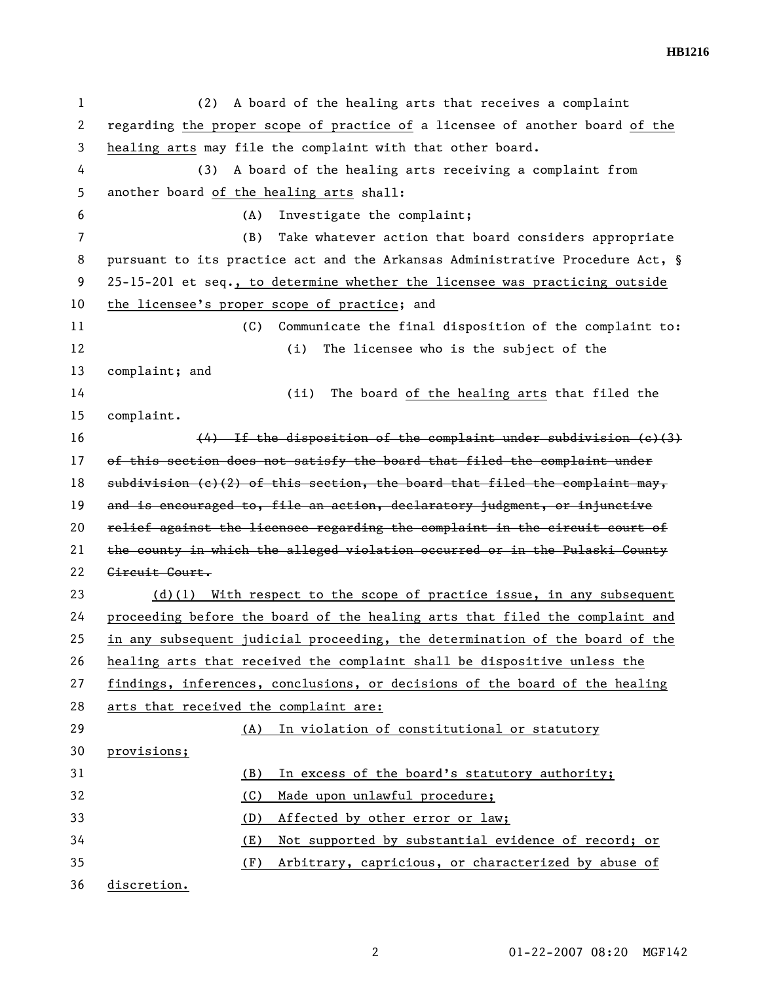**HB1216** 

1 (2) A board of the healing arts that receives a complaint 2 regarding the proper scope of practice of a licensee of another board of the 3 healing arts may file the complaint with that other board. 4 (3) A board of the healing arts receiving a complaint from 5 another board of the healing arts shall: 6 (A) Investigate the complaint; 7 (B) Take whatever action that board considers appropriate 8 pursuant to its practice act and the Arkansas Administrative Procedure Act, § 9 25-15-201 et seq., to determine whether the licensee was practicing outside 10 the licensee's proper scope of practice; and 11 (C) Communicate the final disposition of the complaint to: 12 (i) The licensee who is the subject of the 13 complaint; and 14 (ii) The board of the healing arts that filed the 15 complaint. 16 (4) If the disposition of the complaint under subdivision (c)(3) 17 of this section does not satisfy the board that filed the complaint under 18 subdivision (c)(2) of this section, the board that filed the complaint may, 19 and is encouraged to, file an action, declaratory judgment, or injunctive 20 relief against the licensee regarding the complaint in the circuit court of 21 the county in which the alleged violation occurred or in the Pulaski County 22 Circuit Court. 23 (d)(1) With respect to the scope of practice issue, in any subsequent 24 proceeding before the board of the healing arts that filed the complaint and 25 in any subsequent judicial proceeding, the determination of the board of the 26 healing arts that received the complaint shall be dispositive unless the 27 findings, inferences, conclusions, or decisions of the board of the healing 28 arts that received the complaint are: 29 (A) In violation of constitutional or statutory 30 provisions; 31 (B) In excess of the board's statutory authority; 32 (C) Made upon unlawful procedure; 33 (D) Affected by other error or law; 34 (E) Not supported by substantial evidence of record; or 35 (F) Arbitrary, capricious, or characterized by abuse of 36 discretion.